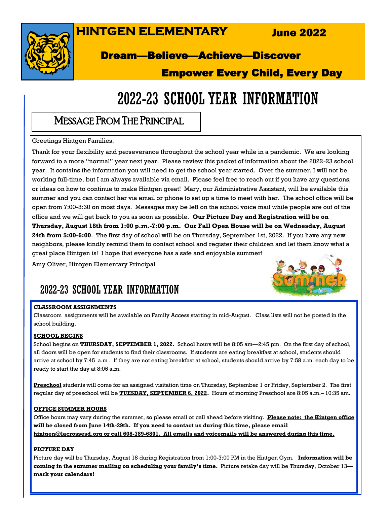## **HINTGEN ELEMENTARY**

June 2022



### Dream—Believe—Achieve—Discover

### Empower Every Child, Every Day

## 2022-23 SCHOOL YEAR INFORMATION

### MESSAGE FROM THE PRINCIPAL

Greetings Hintgen Families,

Thank for your flexibility and perseverance throughout the school year while in a pandemic. We are looking forward to a more "normal" year next year. Please review this packet of information about the 2022-23 school year. It contains the information you will need to get the school year started. Over the summer, I will not be working full-time, but I am always available via email. Please feel free to reach out if you have any questions, or ideas on how to continue to make Hintgen great! Mary, our Administrative Assistant, will be available this summer and you can contact her via email or phone to set up a time to meet with her. The school office will be open from 7:00-3:30 on most days. Messages may be left on the school voice mail while people are out of the office and we will get back to you as soon as possible. **Our Picture Day and Registration will be on Thursday, August 18th from 1:00 p.m.-7:00 p.m. Our Fall Open House will be on Wednesday, August 24th from 5:00-6:00**. The first day of school will be on Thursday, September 1st, 2022. If you have any new neighbors, please kindly remind them to contact school and register their children and let them know what a great place Hintgen is! I hope that everyone has a safe and enjoyable summer!

Amy Oliver, Hintgen Elementary Principal

## 2022-23 SCHOOL YEAR INFORMATION

#### **CLASSROOM ASSIGNMENTS**

Classroom assignments will be available on Family Access starting in mid-August. Class lists will not be posted in the school building.

#### **SCHOOL BEGINS**

School begins on **THURSDAY, SEPTEMBER 1, 2022.** School hours will be 8:05 am—2:45 pm. On the first day of school, all doors will be open for students to find their classrooms. If students are eating breakfast at school, students should arrive at school by 7:45 a.m . If they are not eating breakfast at school, students should arrive by 7:58 a.m. each day to be ready to start the day at 8:05 a.m.

**Preschool** students will come for an assigned visitation time on Thursday, September 1 or Friday, September 2. The first regular day of preschool will be **TUESDAY, SEPTEMBER 6, 2022.** Hours of morning Preschool are 8:05 a.m.– 10:35 am.

#### **OFFICE SUMMER HOURS**

Office hours may vary during the summer, so please email or call ahead before visiting. **Please note: the Hintgen office will be closed from June 14th-29th. If you need to contact us during this time, please email hintgen@lacrossesd.org or call 608-789-6801. All emails and voicemails will be answered during this time.**

#### **PICTURE DAY**

Picture day will be Thursday, August 18 during Registration from 1:00-7:00 PM in the Hintgen Gym. **Information will be coming in the summer mailing on scheduling your family's time.** Picture retake day will be Thursday, October 13 **mark your calendars!**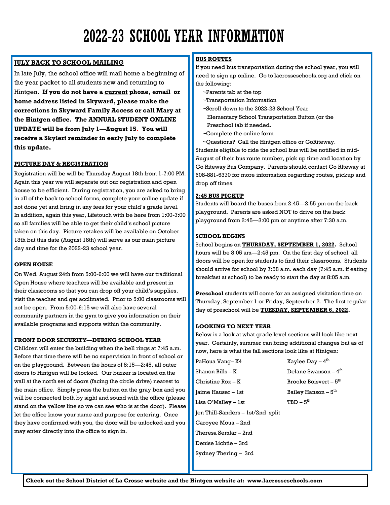## 2022-23 SCHOOL YEAR INFORMATION

### **JULY BACK TO SCHOOL MAILING**

In late July, the school office will mail home a beginning of the year packet to all students new and returning to Hintgen. **If you do not have a current phone, email or home address listed in Skyward, please make the corrections in Skyward Family Access or call Mary at the Hintgen office. The ANNUAL STUDENT ONLINE UPDATE will be from July 1—August 15. You will receive a Skylert reminder in early July to complete this update.**

#### **PICTURE DAY & REGISTRATION**

Registration will be will be Thursday August 18th from 1-7:00 PM. Again this year we will separate out our registration and open house to be efficient. During registration, you are asked to bring in all of the back to school forms, complete your online update if not done yet and bring in any fees for your child's grade level. In addition, again this year, Lifetouch with be here from 1:00-7:00 so all families will be able to get their child's school picture taken on this day. Picture retakes will be available on October 13th but this date (August 18th) will serve as our main picture day and time for the 2022-23 school year.

#### **OPEN HOUSE**

On Wed. August 24th from 5:00-6:00 we will have our traditional Open House where teachers will be available and present in their classrooms so that you can drop off your child's supplies, visit the teacher and get acclimated. Prior to 5:00 classrooms will not be open. From 5:00-6:15 we will also have several community partners in the gym to give you information on their available programs and supports within the community.

#### **FRONT DOOR SECURITY—DURING SCHOOL YEAR**

Children will enter the building when the bell rings at 7:45 a.m. Before that time there will be no supervision in front of school or on the playground. Between the hours of 8:15—2:45, all outer doors to Hintgen will be locked. Our buzzer is located on the wall at the north set of doors (facing the circle drive) nearest to the main office. Simply press the button on the gray box and you will be connected both by sight and sound with the office (please stand on the yellow line so we can see who is at the door). Please let the office know your name and purpose for entering. Once they have confirmed with you, the door will be unlocked and you may enter directly into the office to sign in.

#### **BUS ROUTES**

If you need bus transportation during the school year, you will need to sign up online. Go to lacrosseschools.org and click on the following:

- ~Parents tab at the top
- ~Transportation Information
- ~Scroll down to the 2022-23 School Year
- Elementary School Transportation Button (or the Preschool tab if needed.
- ~Complete the online form
- ~Questions? Call the Hintgen office or GoRiteway.

Students eligible to ride the school bus will be notified in mid-August of their bus route number, pick up time and location by Go Riteway Bus Company. Parents should contact Go RIteway at 608-881-6370 for more information regarding routes, pickup and drop off times.

#### **2:45 BUS PICKUP**

Students will board the buses from 2:45—2:55 pm on the back playground. Parents are asked NOT to drive on the back playground from 2:45—3:00 pm or anytime after 7:30 a.m.

#### **SCHOOL BEGINS**

School begins on **THURSDAY, SEPTEMBER 1, 2022.** School hours will be 8:05 am—2:45 pm. On the first day of school, all doors will be open for students to find their classrooms. Students should arrive for school by 7:58 a.m. each day (7:45 a.m. if eating breakfast at school) to be ready to start the day at 8:05 a.m.

**Preschool** students will come for an assigned visitation time on Thursday, September 1 or Friday, September 2. The first regular day of preschool will be **TUESDAY, SEPTEMBER 6, 2022.**

#### **LOOKING TO NEXT YEAR**

Below is a look at what grade level sections will look like next year. Certainly, summer can bring additional changes but as of now, here is what the fall sections look like at Hintgen:

| PaHoua Vanq– K4                   | Kaylee Day $-4$ <sup>th</sup> |
|-----------------------------------|-------------------------------|
| Shanon Bills – K                  | Delane Swanson $-4th$         |
| Christine Rox – K                 | Brooke Boisvert $-5th$        |
| Jaime Hauser – 1st                | Bailey Hanson $-5th$          |
| Lisa O'Mallev – 1st               | $TBD - 5th$                   |
| Jen Thill-Sanders – 1st/2nd split |                               |
| Caroyee Moua – 2nd                |                               |
| Theresa Semlar – 2nd              |                               |
| Denise Lichtie – 3rd              |                               |
| Sydney Thering – 3rd              |                               |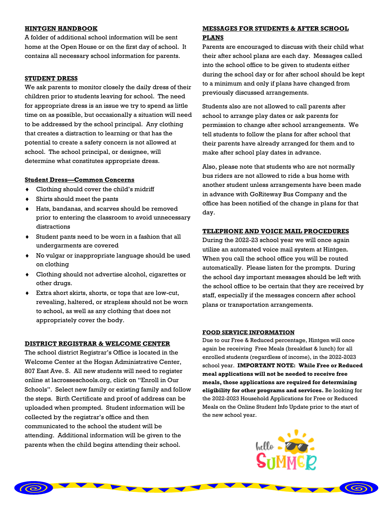#### **HINTGEN HANDBOOK**

A folder of additional school information will be sent home at the Open House or on the first day of school. It contains all necessary school information for parents.

#### **STUDENT DRESS**

We ask parents to monitor closely the daily dress of their children prior to students leaving for school. The need for appropriate dress is an issue we try to spend as little time on as possible, but occasionally a situation will need to be addressed by the school principal. Any clothing that creates a distraction to learning or that has the potential to create a safety concern is not allowed at school. The school principal, or designee, will determine what constitutes appropriate dress.

#### **Student Dress—Common Concerns**

- Clothing should cover the child's midriff
- Shirts should meet the pants
- Hats, bandanas, and scarves should be removed prior to entering the classroom to avoid unnecessary distractions
- Student pants need to be worn in a fashion that all undergarments are covered
- No vulgar or inappropriate language should be used on clothing
- Clothing should not advertise alcohol, cigarettes or other drugs.
- Extra short skirts, shorts, or tops that are low-cut, revealing, haltered, or strapless should not be worn to school, as well as any clothing that does not appropriately cover the body.

#### **DISTRICT REGISTRAR & WELCOME CENTER**

The school district Registrar's Office is located in the Welcome Center at the Hogan Administrative Center, 807 East Ave. S. All new students will need to register online at lacrosseschools.org, click on "Enroll in Our Schools". Select new family or existing family and follow the steps. Birth Certificate and proof of address can be uploaded when prompted. Student information will be collected by the registrar's office and then communicated to the school the student will be attending. Additional information will be given to the parents when the child begins attending their school.

#### **MESSAGES FOR STUDENTS & AFTER SCHOOL PLANS**

Parents are encouraged to discuss with their child what their after school plans are each day. Messages called into the school office to be given to students either during the school day or for after school should be kept to a minimum and only if plans have changed from previously discussed arrangements.

Students also are not allowed to call parents after school to arrange play dates or ask parents for permission to change after school arrangements. We tell students to follow the plans for after school that their parents have already arranged for them and to make after school play dates in advance.

Also, please note that students who are not normally bus riders are not allowed to ride a bus home with another student unless arrangements have been made in advance with GoRiteway Bus Company and the office has been notified of the change in plans for that day.

#### **TELEPHONE AND VOICE MAIL PROCEDURES**

During the 2022-23 school year we will once again utilize an automated voice mail system at Hintgen. When you call the school office you will be routed automatically. Please listen for the prompts. During the school day important messages should be left with the school office to be certain that they are received by staff, especially if the messages concern after school plans or transportation arrangements.

#### **FOOD SERVICE INFORMATION**

Due to our Free & Reduced percentage, Hintgen will once again be receiving Free Meals (breakfast & lunch) for all enrolled students (regardless of income), in the 2022-2023 school year. **IMPORTANT NOTE: While Free or Reduced meal applications will not be needed to receive free meals, those applications are required for determining eligibility for other programs and services.** Be looking for the 2022-2023 Household Applications for Free or Reduced Meals on the Online Student Info Update prior to the start of the new school year.



 $\circledcirc$